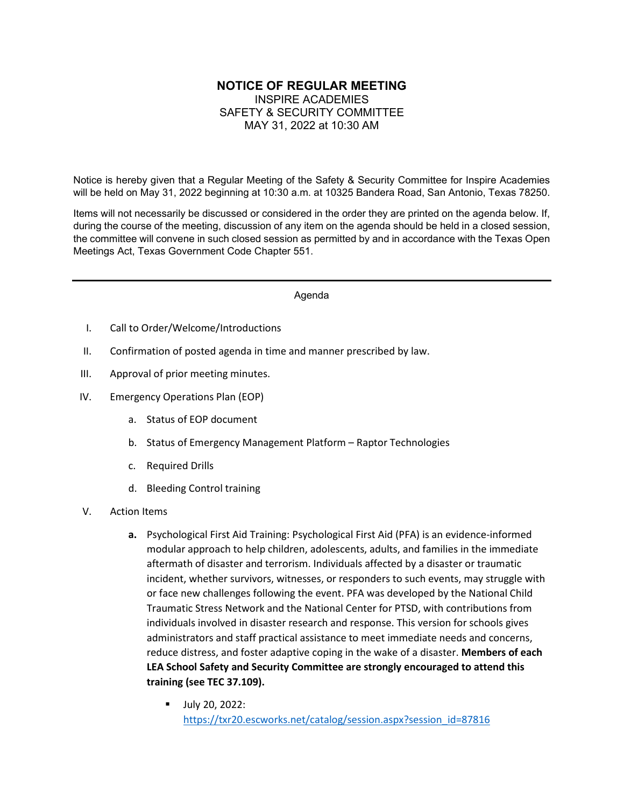## **NOTICE OF REGULAR MEETING** INSPIRE ACADEMIES SAFETY & SECURITY COMMITTEE MAY 31, 2022 at 10:30 AM

Notice is hereby given that a Regular Meeting of the Safety & Security Committee for Inspire Academies will be held on May 31, 2022 beginning at 10:30 a.m. at 10325 Bandera Road, San Antonio, Texas 78250.

Items will not necessarily be discussed or considered in the order they are printed on the agenda below. If, during the course of the meeting, discussion of any item on the agenda should be held in a closed session, the committee will convene in such closed session as permitted by and in accordance with the Texas Open Meetings Act, Texas Government Code Chapter 551.

## Agenda

- I. Call to Order/Welcome/Introductions
- II. Confirmation of posted agenda in time and manner prescribed by law.
- III. Approval of prior meeting minutes.
- IV. Emergency Operations Plan (EOP)
	- a. Status of EOP document
	- b. Status of Emergency Management Platform Raptor Technologies
	- c. Required Drills
	- d. Bleeding Control training
- V. Action Items
	- **a.** Psychological First Aid Training: Psychological First Aid (PFA) is an evidence-informed modular approach to help children, adolescents, adults, and families in the immediate aftermath of disaster and terrorism. Individuals affected by a disaster or traumatic incident, whether survivors, witnesses, or responders to such events, may struggle with or face new challenges following the event. PFA was developed by the National Child Traumatic Stress Network and the National Center for PTSD, with contributions from individuals involved in disaster research and response. This version for schools gives administrators and staff practical assistance to meet immediate needs and concerns, reduce distress, and foster adaptive coping in the wake of a disaster. **Members of each LEA School Safety and Security Committee are strongly encouraged to attend this training (see TEC 37.109).** 
		- July 20, 2022: [https://txr20.escworks.net/catalog/session.aspx?session\\_id=87816](https://txr20.escworks.net/catalog/session.aspx?session_id=87816)